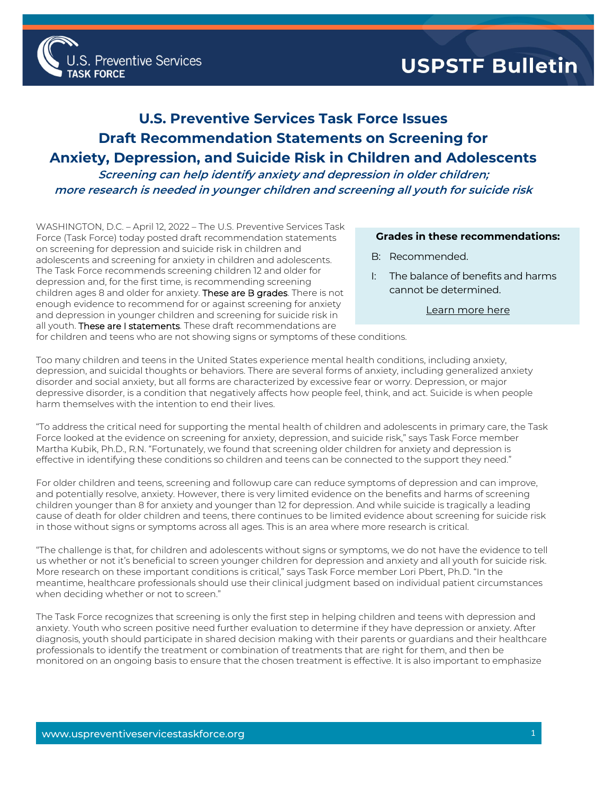## **USPSTF Bulletin**

## **U.S. Preventive Services Task Force Issues Draft Recommendation Statements on Screening for Anxiety, Depression, and Suicide Risk in Children and Adolescents**

**Screening can help identify anxiety and depression in older children; more research is needed in younger children and screening all youth for suicide risk** 

WASHINGTON, D.C. – April 12, 2022 – The U.S. Preventive Services Task Force (Task Force) today posted draft recommendation statements on screening for depression and suicide risk in children and adolescents and screening for anxiety in children and adolescents. The Task Force recommends screening children 12 and older for depression and, for the first time, is recommending screening children ages 8 and older for anxiety. These are B grades. There is not enough evidence to recommend for or against screening for anxiety and depression in younger children and screening for suicide risk in all youth. These are I statements. These draft recommendations are

**Preventive Services** 

## **Grades in these recommendations:**

- B: Recommended.
- I: The balance of benefits and harms cannot be determined.

[Learn more here](http://www.uspreventiveservicestaskforce.org/Page/Name/grade-definitions)

for children and teens who are not showing signs or symptoms of these conditions.

Too many children and teens in the United States experience mental health conditions, including anxiety, depression, and suicidal thoughts or behaviors. There are several forms of anxiety, including generalized anxiety disorder and social anxiety, but all forms are characterized by excessive fear or worry. Depression, or major depressive disorder, is a condition that negatively affects how people feel, think, and act. Suicide is when people harm themselves with the intention to end their lives.

"To address the critical need for supporting the mental health of children and adolescents in primary care, the Task Force looked at the evidence on screening for anxiety, depression, and suicide risk," says Task Force member Martha Kubik, Ph.D., R.N. "Fortunately, we found that screening older children for anxiety and depression is effective in identifying these conditions so children and teens can be connected to the support they need."

For older children and teens, screening and followup care can reduce symptoms of depression and can improve, and potentially resolve, anxiety. However, there is very limited evidence on the benefits and harms of screening children younger than 8 for anxiety and younger than 12 for depression. And while suicide is tragically a leading cause of death for older children and teens, there continues to be limited evidence about screening for suicide risk in those without signs or symptoms across all ages. This is an area where more research is critical.

"The challenge is that, for children and adolescents without signs or symptoms, we do not have the evidence to tell us whether or not it's beneficial to screen younger children for depression and anxiety and all youth for suicide risk. More research on these important conditions is critical," says Task Force member Lori Pbert, Ph.D. "In the meantime, healthcare professionals should use their clinical judgment based on individual patient circumstances when deciding whether or not to screen."

The Task Force recognizes that screening is only the first step in helping children and teens with depression and anxiety. Youth who screen positive need further evaluation to determine if they have depression or anxiety. After diagnosis, youth should participate in shared decision making with their parents or guardians and their healthcare professionals to identify the treatment or combination of treatments that are right for them, and then be monitored on an ongoing basis to ensure that the chosen treatment is effective. It is also important to emphasize